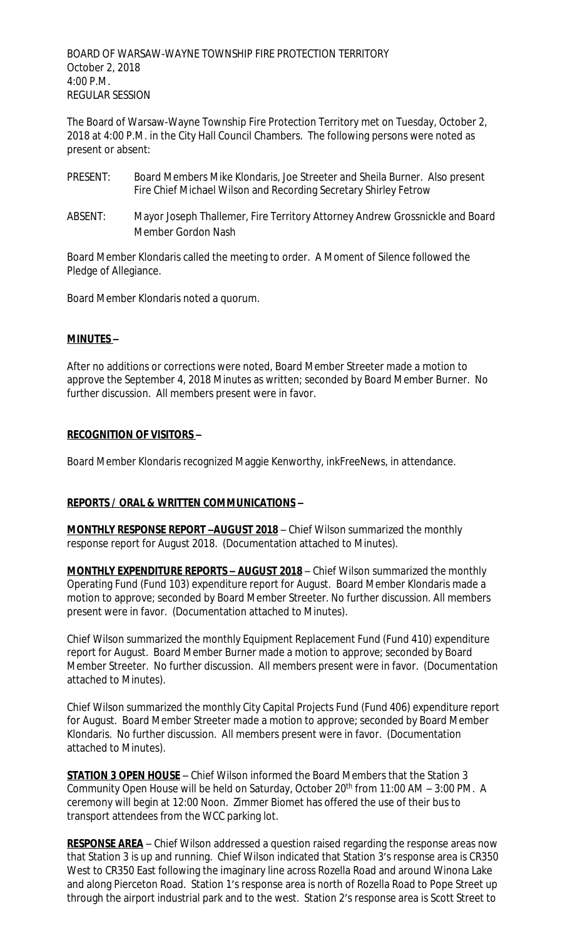BOARD OF WARSAW-WAYNE TOWNSHIP FIRE PROTECTION TERRITORY October 2, 2018 4:00 P.M. REGULAR SESSION

The Board of Warsaw-Wayne Township Fire Protection Territory met on Tuesday, October 2, 2018 at 4:00 P.M. in the City Hall Council Chambers. The following persons were noted as present or absent:

- PRESENT: Board Members Mike Klondaris, Joe Streeter and Sheila Burner. Also present Fire Chief Michael Wilson and Recording Secretary Shirley Fetrow
- ABSENT: Mayor Joseph Thallemer, Fire Territory Attorney Andrew Grossnickle and Board Member Gordon Nash

Board Member Klondaris called the meeting to order. A Moment of Silence followed the Pledge of Allegiance.

Board Member Klondaris noted a quorum.

### **MINUTES –**

After no additions or corrections were noted, Board Member Streeter made a motion to approve the September 4, 2018 Minutes as written; seconded by Board Member Burner. No further discussion. All members present were in favor.

### **RECOGNITION OF VISITORS –**

Board Member Klondaris recognized Maggie Kenworthy, inkFreeNews, in attendance.

# **REPORTS / ORAL & WRITTEN COMMUNICATIONS –**

**MONTHLY RESPONSE REPORT –AUGUST 2018** – Chief Wilson summarized the monthly response report for August 2018. (Documentation attached to Minutes).

**MONTHLY EXPENDITURE REPORTS – AUGUST 2018** – Chief Wilson summarized the monthly Operating Fund (Fund 103) expenditure report for August. Board Member Klondaris made a motion to approve; seconded by Board Member Streeter. No further discussion. All members present were in favor. (Documentation attached to Minutes).

Chief Wilson summarized the monthly Equipment Replacement Fund (Fund 410) expenditure report for August. Board Member Burner made a motion to approve; seconded by Board Member Streeter. No further discussion. All members present were in favor. (Documentation attached to Minutes).

Chief Wilson summarized the monthly City Capital Projects Fund (Fund 406) expenditure report for August. Board Member Streeter made a motion to approve; seconded by Board Member Klondaris. No further discussion. All members present were in favor. (Documentation attached to Minutes).

**STATION 3 OPEN HOUSE** – Chief Wilson informed the Board Members that the Station 3 Community Open House will be held on Saturday, October 20<sup>th</sup> from 11:00 AM  $-$  3:00 PM. A ceremony will begin at 12:00 Noon. Zimmer Biomet has offered the use of their bus to transport attendees from the WCC parking lot.

**RESPONSE AREA** – Chief Wilson addressed a question raised regarding the response areas now that Station 3 is up and running. Chief Wilson indicated that Station 3's response area is CR350 West to CR350 East following the imaginary line across Rozella Road and around Winona Lake and along Pierceton Road. Station 1's response area is north of Rozella Road to Pope Street up through the airport industrial park and to the west. Station 2's response area is Scott Street to